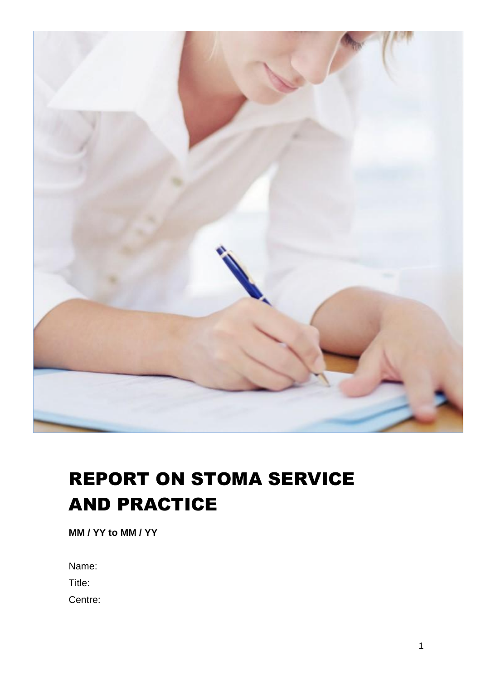

# REPORT ON STOMA SERVICE AND PRACTICE

**MM / YY to MM / YY**

Name:

Title:

Centre: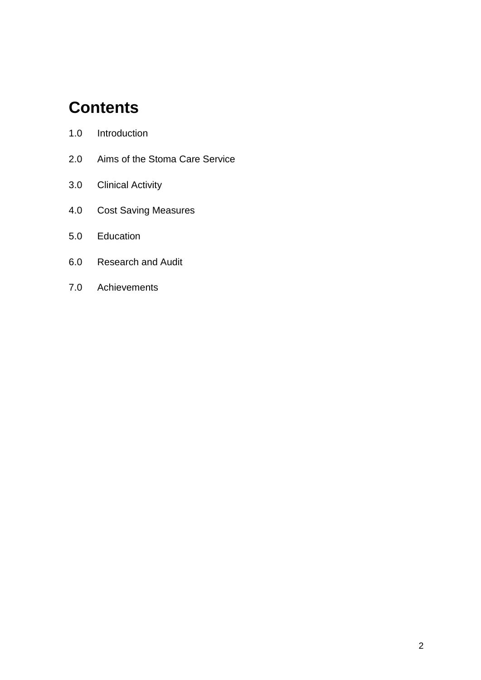## **Contents**

- 2.0 Aims of the Stoma Care Service
- 3.0 Clinical Activity
- 4.0 Cost Saving Measures
- 5.0 Education
- 6.0 Research and Audit
- 7.0 Achievements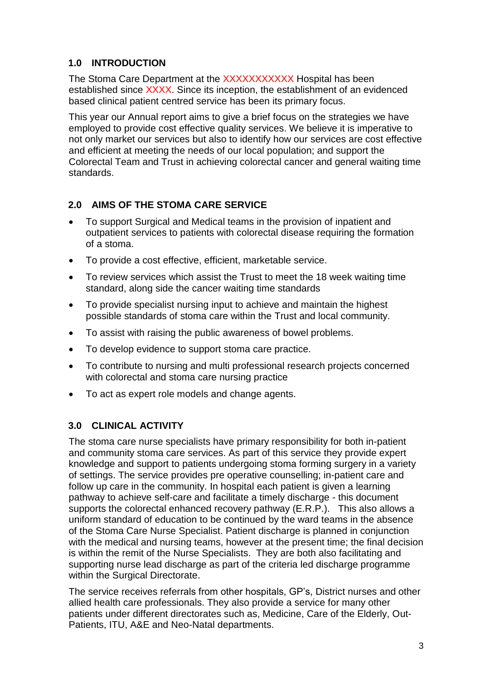## **1.0 INTRODUCTION**

The Stoma Care Department at the XXXXXXXXXX Hospital has been established since XXXX. Since its inception, the establishment of an evidenced based clinical patient centred service has been its primary focus.

This year our Annual report aims to give a brief focus on the strategies we have employed to provide cost effective quality services. We believe it is imperative to not only market our services but also to identify how our services are cost effective and efficient at meeting the needs of our local population; and support the Colorectal Team and Trust in achieving colorectal cancer and general waiting time standards.

## **2.0 AIMS OF THE STOMA CARE SERVICE**

- To support Surgical and Medical teams in the provision of inpatient and outpatient services to patients with colorectal disease requiring the formation of a stoma.
- To provide a cost effective, efficient, marketable service.
- To review services which assist the Trust to meet the 18 week waiting time standard, along side the cancer waiting time standards
- To provide specialist nursing input to achieve and maintain the highest possible standards of stoma care within the Trust and local community.
- To assist with raising the public awareness of bowel problems.
- To develop evidence to support stoma care practice.
- To contribute to nursing and multi professional research projects concerned with colorectal and stoma care nursing practice
- To act as expert role models and change agents.

## **3.0 CLINICAL ACTIVITY**

The stoma care nurse specialists have primary responsibility for both in-patient and community stoma care services. As part of this service they provide expert knowledge and support to patients undergoing stoma forming surgery in a variety of settings. The service provides pre operative counselling; in-patient care and follow up care in the community. In hospital each patient is given a learning pathway to achieve self-care and facilitate a timely discharge - this document supports the colorectal enhanced recovery pathway (E.R.P.). This also allows a uniform standard of education to be continued by the ward teams in the absence of the Stoma Care Nurse Specialist. Patient discharge is planned in conjunction with the medical and nursing teams, however at the present time; the final decision is within the remit of the Nurse Specialists. They are both also facilitating and supporting nurse lead discharge as part of the criteria led discharge programme within the Surgical Directorate.

The service receives referrals from other hospitals, GP's, District nurses and other allied health care professionals. They also provide a service for many other patients under different directorates such as, Medicine, Care of the Elderly, Out-Patients, ITU, A&E and Neo-Natal departments.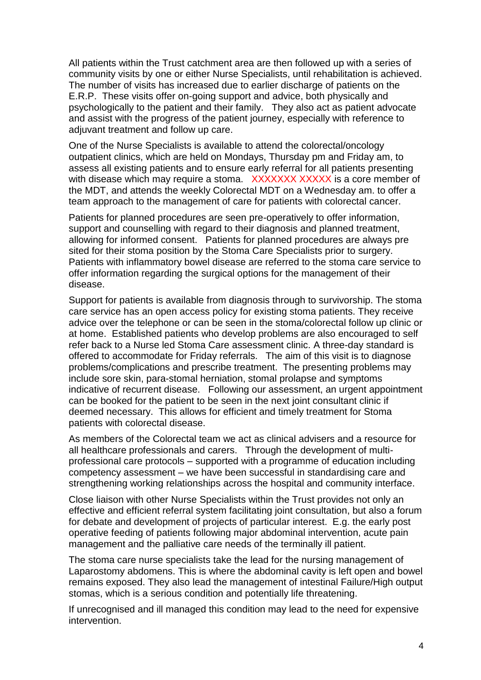All patients within the Trust catchment area are then followed up with a series of community visits by one or either Nurse Specialists, until rehabilitation is achieved. The number of visits has increased due to earlier discharge of patients on the E.R.P. These visits offer on-going support and advice, both physically and psychologically to the patient and their family. They also act as patient advocate and assist with the progress of the patient journey, especially with reference to adjuvant treatment and follow up care.

One of the Nurse Specialists is available to attend the colorectal/oncology outpatient clinics, which are held on Mondays, Thursday pm and Friday am, to assess all existing patients and to ensure early referral for all patients presenting with disease which may require a stoma. XXXXXXX XXXXX is a core member of the MDT, and attends the weekly Colorectal MDT on a Wednesday am. to offer a team approach to the management of care for patients with colorectal cancer.

Patients for planned procedures are seen pre-operatively to offer information, support and counselling with regard to their diagnosis and planned treatment, allowing for informed consent. Patients for planned procedures are always pre sited for their stoma position by the Stoma Care Specialists prior to surgery. Patients with inflammatory bowel disease are referred to the stoma care service to offer information regarding the surgical options for the management of their disease.

Support for patients is available from diagnosis through to survivorship. The stoma care service has an open access policy for existing stoma patients. They receive advice over the telephone or can be seen in the stoma/colorectal follow up clinic or at home. Established patients who develop problems are also encouraged to self refer back to a Nurse led Stoma Care assessment clinic. A three-day standard is offered to accommodate for Friday referrals. The aim of this visit is to diagnose problems/complications and prescribe treatment. The presenting problems may include sore skin, para-stomal herniation, stomal prolapse and symptoms indicative of recurrent disease. Following our assessment, an urgent appointment can be booked for the patient to be seen in the next joint consultant clinic if deemed necessary. This allows for efficient and timely treatment for Stoma patients with colorectal disease.

As members of the Colorectal team we act as clinical advisers and a resource for all healthcare professionals and carers. Through the development of multiprofessional care protocols – supported with a programme of education including competency assessment – we have been successful in standardising care and strengthening working relationships across the hospital and community interface.

Close liaison with other Nurse Specialists within the Trust provides not only an effective and efficient referral system facilitating joint consultation, but also a forum for debate and development of projects of particular interest. E.g. the early post operative feeding of patients following major abdominal intervention, acute pain management and the palliative care needs of the terminally ill patient.

The stoma care nurse specialists take the lead for the nursing management of Laparostomy abdomens. This is where the abdominal cavity is left open and bowel remains exposed. They also lead the management of intestinal Failure/High output stomas, which is a serious condition and potentially life threatening.

If unrecognised and ill managed this condition may lead to the need for expensive intervention.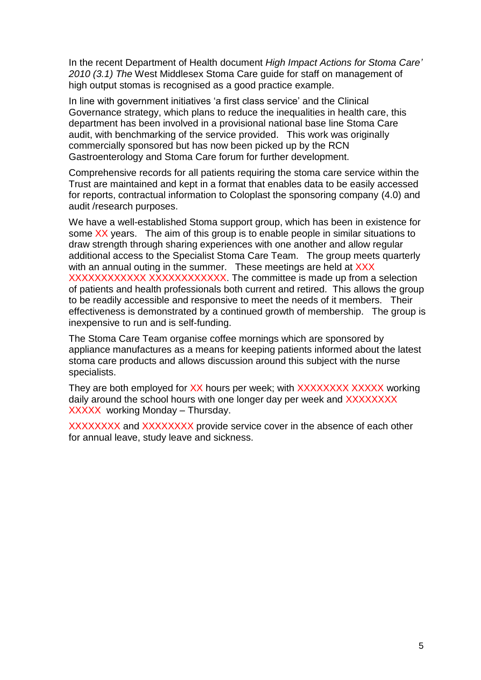In the recent Department of Health document *High Impact Actions for Stoma Care' 2010 (3.1) The* West Middlesex Stoma Care guide for staff on management of high output stomas is recognised as a good practice example.

In line with government initiatives 'a first class service' and the Clinical Governance strategy, which plans to reduce the inequalities in health care, this department has been involved in a provisional national base line Stoma Care audit, with benchmarking of the service provided. This work was originally commercially sponsored but has now been picked up by the RCN Gastroenterology and Stoma Care forum for further development.

Comprehensive records for all patients requiring the stoma care service within the Trust are maintained and kept in a format that enables data to be easily accessed for reports, contractual information to Coloplast the sponsoring company (4.0) and audit /research purposes.

We have a well-established Stoma support group, which has been in existence for some XX years. The aim of this group is to enable people in similar situations to draw strength through sharing experiences with one another and allow regular additional access to the Specialist Stoma Care Team. The group meets quarterly with an annual outing in the summer. These meetings are held at XXX XXXXXXXXXXX XXXXXXXXXXXX. The committee is made up from a selection of patients and health professionals both current and retired. This allows the group to be readily accessible and responsive to meet the needs of it members. Their effectiveness is demonstrated by a continued growth of membership. The group is inexpensive to run and is self-funding.

The Stoma Care Team organise coffee mornings which are sponsored by appliance manufactures as a means for keeping patients informed about the latest stoma care products and allows discussion around this subject with the nurse specialists.

They are both employed for XX hours per week; with XXXXXXXX XXXXX working daily around the school hours with one longer day per week and XXXXXXXX XXXXX working Monday – Thursday.

XXXXXXXX and XXXXXXXX provide service cover in the absence of each other for annual leave, study leave and sickness.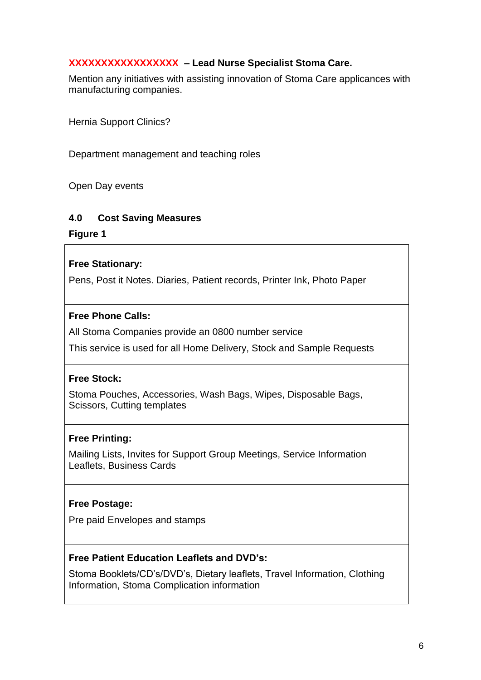#### **XXXXXXXXXXXXXXXXX – Lead Nurse Specialist Stoma Care.**

Mention any initiatives with assisting innovation of Stoma Care applicances with manufacturing companies.

Hernia Support Clinics?

Department management and teaching roles

Open Day events

#### **4.0 Cost Saving Measures**

**Figure 1**

#### **Free Stationary:**

Pens, Post it Notes. Diaries, Patient records, Printer Ink, Photo Paper

#### **Free Phone Calls:**

All Stoma Companies provide an 0800 number service

This service is used for all Home Delivery, Stock and Sample Requests

#### **Free Stock:**

Stoma Pouches, Accessories, Wash Bags, Wipes, Disposable Bags, Scissors, Cutting templates

#### **Free Printing:**

Mailing Lists, Invites for Support Group Meetings, Service Information Leaflets, Business Cards

#### **Free Postage:**

Pre paid Envelopes and stamps

#### **Free Patient Education Leaflets and DVD's:**

Stoma Booklets/CD's/DVD's, Dietary leaflets, Travel Information, Clothing Information, Stoma Complication information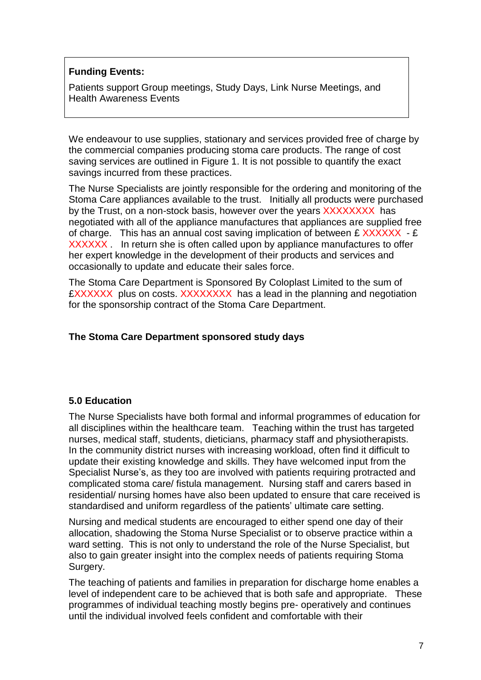#### **Funding Events:**

Patients support Group meetings, Study Days, Link Nurse Meetings, and Health Awareness Events

We endeavour to use supplies, stationary and services provided free of charge by the commercial companies producing stoma care products. The range of cost saving services are outlined in Figure 1. It is not possible to quantify the exact savings incurred from these practices.

The Nurse Specialists are jointly responsible for the ordering and monitoring of the Stoma Care appliances available to the trust. Initially all products were purchased by the Trust, on a non-stock basis, however over the years XXXXXXXX has negotiated with all of the appliance manufactures that appliances are supplied free of charge. This has an annual cost saving implication of between  $E$  XXXXXX -  $E$ XXXXXX . In return she is often called upon by appliance manufactures to offer her expert knowledge in the development of their products and services and occasionally to update and educate their sales force.

The Stoma Care Department is Sponsored By Coloplast Limited to the sum of £XXXXXX plus on costs. XXXXXXXX has a lead in the planning and negotiation for the sponsorship contract of the Stoma Care Department.

#### **The Stoma Care Department sponsored study days**

#### **5.0 Education**

The Nurse Specialists have both formal and informal programmes of education for all disciplines within the healthcare team. Teaching within the trust has targeted nurses, medical staff, students, dieticians, pharmacy staff and physiotherapists. In the community district nurses with increasing workload, often find it difficult to update their existing knowledge and skills. They have welcomed input from the Specialist Nurse's, as they too are involved with patients requiring protracted and complicated stoma care/ fistula management. Nursing staff and carers based in residential/ nursing homes have also been updated to ensure that care received is standardised and uniform regardless of the patients' ultimate care setting.

Nursing and medical students are encouraged to either spend one day of their allocation, shadowing the Stoma Nurse Specialist or to observe practice within a ward setting. This is not only to understand the role of the Nurse Specialist, but also to gain greater insight into the complex needs of patients requiring Stoma Surgery.

The teaching of patients and families in preparation for discharge home enables a level of independent care to be achieved that is both safe and appropriate. These programmes of individual teaching mostly begins pre- operatively and continues until the individual involved feels confident and comfortable with their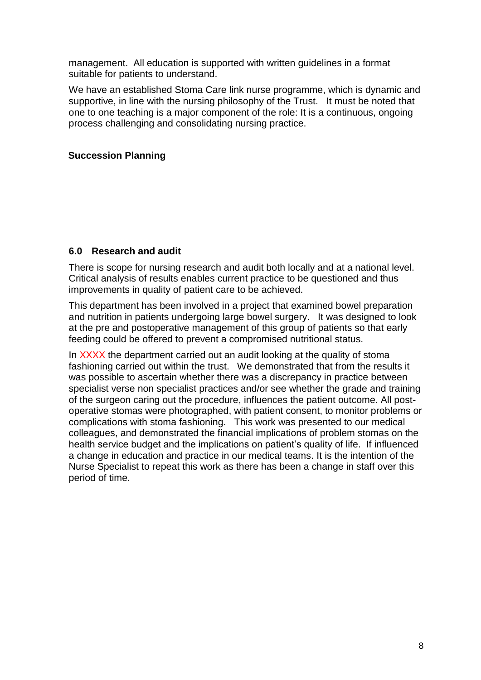management. All education is supported with written guidelines in a format suitable for patients to understand.

We have an established Stoma Care link nurse programme, which is dynamic and supportive, in line with the nursing philosophy of the Trust. It must be noted that one to one teaching is a major component of the role: It is a continuous, ongoing process challenging and consolidating nursing practice.

#### **Succession Planning**

#### **6.0 Research and audit**

There is scope for nursing research and audit both locally and at a national level. Critical analysis of results enables current practice to be questioned and thus improvements in quality of patient care to be achieved.

This department has been involved in a project that examined bowel preparation and nutrition in patients undergoing large bowel surgery. It was designed to look at the pre and postoperative management of this group of patients so that early feeding could be offered to prevent a compromised nutritional status.

In XXXX the department carried out an audit looking at the quality of stoma fashioning carried out within the trust. We demonstrated that from the results it was possible to ascertain whether there was a discrepancy in practice between specialist verse non specialist practices and/or see whether the grade and training of the surgeon caring out the procedure, influences the patient outcome. All postoperative stomas were photographed, with patient consent, to monitor problems or complications with stoma fashioning. This work was presented to our medical colleagues, and demonstrated the financial implications of problem stomas on the health service budget and the implications on patient's quality of life. If influenced a change in education and practice in our medical teams. It is the intention of the Nurse Specialist to repeat this work as there has been a change in staff over this period of time.